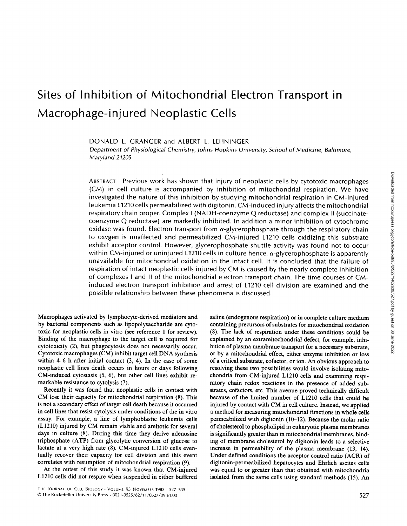# **Sites of Inhibition of Mitochondrial Electron Transport in Macrophage-injured Neoplastic Cells**

DONALD L. GRANGER and ALBERT L. LEHNINGER

*Department of Physiological Chemistry, Johns Hopkins University, School of Medicine, Baltimore, Maryland 21205* 

ABSTRACT Previous work has shown that injury of neoplastic cells by cytotoxic macrophages (CM) in cell culture is accompanied by inhibition of mitochondrial respiration. We have investigated the nature of this inhibition by studying mitochondrial respiration in CM-injured leukemia L1210 cells permeabilized with digitonin. CM-induced injury affects the mitochondrial respiratory chain proper. Complex I (NADH-coenzyme Q reductase) and complex II (succinatecoenzyme Q reductase) are markedly inhibited. In addition a minor inhibition of cytochrome oxidase was found. Electron transport from  $\alpha$ -glycerophosphate through the respiratory chain to oxygen is unaffected and permeabilized CM-injured L1210 cells oxidizing this substrate exhibit acceptor control. However, glycerophosphate shuttle activity was found not to occur within CM-injured or uninjured L1210 cells in culture hence,  $\alpha$ -glycerophosphate is apparently unavailable for mitochondrial oxidation in the intact cell. It is concluded that the failure of respiration of intact neoplastic cells injured by CM is caused by the nearly complete inhibition of complexes I and II of the mitochondrial electron transport chain. The time courses of CMinduced electron transport inhibition and arrest of L1210 cell division are examined and the possible relationship between these phenomena is discussed.

Macrophages activated by lymphocyte-derived mediators and by bacterial components such as lipopolysaccharide are cytotoxic for neoplastic cells in vitro (see reference 1 for review). Binding of the macrophage to the target cell is required for cytotoxicity (2), but phagocytosis does not necessarily occur. Cytotoxic macrophages (CM) inhibit target cell DNA synthesis within 4-6 h after initial contact (3, 4). In the case of some neoplastic cell lines death occurs in hours or days following CM-induced cytostasis (5, 6), but other cell lines exhibit remarkable resistance to cytolysis (7).

Recently it was found that neoplastic cells in contact with CM lose their capacity for mitochondrial respiration (8). This is not a secondary effect of target cell death because it occurred in cell lines that resist cytolysis under conditions of the in vitro assay. For example, a line of lymphoblastic leukemia cells (L1210) injured by CM remain viable and amitotic for several days in culture (8). During this time they derive adenosine triphosphate (ATP) from glycolytic conversion of glucose to lactate at a very high rate (8). CM-injured LI210 cells eventually recover their capacity for cell division and this event correlates with resumption of mitochondrial respiration (9).

At the outset of this study it was known that CM-injured LI210 cells did not respire when suspended in either buffered saline (endogenous respiration) or in complete culture medium containing precursors of substrates for mitochondrial oxidation (8). The lack of respiration under these conditions could be explained by an extramitochondrial defect, for example, inhibition of plasma membrane transport for a necessary substrate, or by a mitochondrial effect, either enzyme inhibition or loss of a critical substrate, cofactor, or ion. An obvious approach to resolving these two possibilities would involve isolating mitochondria from CM-injured L1210 cells and examining respiratory chain redox reactions in the presence of added substrates, cofactors, etc. This avenue proved technically difficult because of the limited number of L1210 cells that could be injured by contact with CM in cell culture. Instead, we applied a method for measuring mitochondrial functions in whole cells permeabilized with digitonin (10-12). Because the molar ratio of cholesterol to phospholipid in eukaryotic plasma membranes is significantly greater than in mitochondrial membranes, binding of membrane cholesterol by digitonin leads to a selective increase in permeability of the plasma membrane (13, 14). Under defined conditions the acceptor control ratio (ACR) of digitonin-permeabilized hepatocytes and Ehrlich ascites cells was equal to or greater than that obtained with mitochondria isolated from the same cells using standard methods (15). An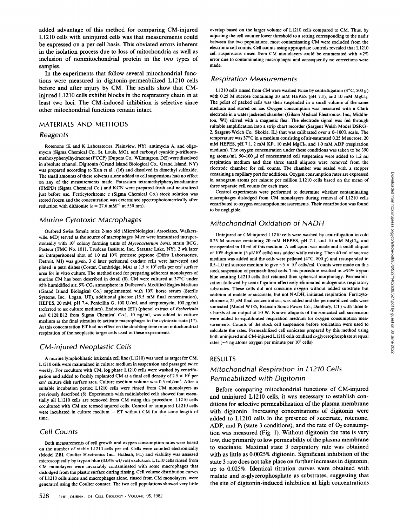added advantage of this method for comparing CM-injured L1210 ceils with uninjured cells was that measurements could be expressed on a per cell basis. This obviated errors inherent in the isolation process due to loss of mitochondria as well as inclusion of nonmitochondrial protein in the two types of samples.

In the experiments that follow several mitochondrial functions were measured in digitonin-permeabilized L1210 ceils before and after injury by CM. The results show that CMinjured L 1210 cells exhibit blocks in the respiratory chain in at least two loci. The CM-induced inhibition is selective since other mitochondrial functions remain intact.

### MATERIALS AND METHODS

#### *Reagents*

Rotenone (K and K Laboratories, Plainview, NY), antimycin A, and oligomyein (Sigma Chemical Co., St. Louis, MO), and carbonyl cyanide p-trifluoromethoxyphenylhydrazone (FCCP) (Dupont Co., Wilmington, DE) were dissolved in absolute ethanol. Digitonin (Grand Island Biological Co., Grand Island, NY) was prepared according to Kun et al., (16) and dissolved in dimethyl sulfoxide. The small amounts of these solvents alone added to cell suspensions had no effect on any of the measurements made. Potassium tetramethylphenylenediamine (TMPD) (Sigma Chemical Co.) and KCN were prepared fresh and neutralized just before use. Ferricytochrome c (Sigma Chemical Co.) stock solution was stored frozen and the concentration was determined spectrophotometrically after reduction with dithionite ( $\varepsilon = 27.6$  mM<sup>-1</sup> at 550 nm).

#### *Murine Cytotoxic Macrophages*

Outbred Swiss female mice 2-mo old (Microbiological Associates, Walkersville, MD) served as the source of macrophages. Mice were immunized intraperitoneally with 107 colony forming units of *Mycobacterium boris,* strain BCG, Pasteur (TMC No. 1011, Trudeau Institute, Inc., Saranac Lake, NY). 2 wk later an intraperitoneal shot of 1.0 ml 10% proteose peptone (Difco Laboratories, Detroit, MI) was given. 3 d later peritoneal exudate ceils were harvested and plated in petri dishes (Costar, Cambridge, MA) at  $1.5 \times 10^6$  cells per cm<sup>2</sup> surface area for in vitro culture. The method used for preparing adherent monolayers of murine CM has been described in detail (8). CM were cultured at 37°C under 95% humidified air, 5% CO<sub>2</sub> atmosphere in Dulbecco's Modified Eagles Medium (Grand Island Biological Co.) supplemented with 10% horse serum (Sterile Systems, Inc., Logan, UT), additional glucose (15.5 mM final concentration), HEPES, 20 mM, pH 7.4, Penicillin G, 100 U/ml, and streptomycin, 100  $\mu$ g/ml (referred to as: culture medium). Endotoxin (ET) (phenol extract of *Escherichia coli* 0.128:B12 from Sigma Chemical Co.), 10 ng/ml, was added to culture medium as the final stimulus to activate macrophages to the cytotoxic state (17). At this concentration ET had no effect on the doubling time or on mitochondrial respiration of the neoplastic target ceils used in these experiments.

## *CM-injured Neoplastic Cells*

A murine lymphoblastic leukemia cell line (L1210) was used as target for CM. L 1210 cells were maintained in culture medium in suspension and passaged twice weekly. For coculture with CM, log phase LI210 ceils were washed by centrifugation and added to freshly explanted CM at a final cell density of 2.5  $\times$  10<sup>5</sup> per cm<sup>2</sup> culture dish surface area. Culture medium volume was 0.5 ml/cm<sup>2</sup>. After a suitable incubation period LI210 cells were rinsed from CM monolayers as previously described (8). Experiments with radiolabeled ceils showed that essentially all LI210 cells are removed from CM using this procedure. LI210 ceils cocultured with CM are termed injured ceils. Control or uninjured LI210 cells were incubated in culture medium + ET without CM for the same length of time.

## *Cell Counts*

Both measurements of ceil growth and oxygen consumption rates were based on the number of viable L1210 ceils per ml. Cells were counted electronically (Model ZBI, Coulter Electronics Inc., Hialeah, FL) and viability was assessed microscopically by trypan blue (0.04% wt/vol) exclusion. LI210 cells rinsed from CM monolayers were invariably contaminated with some macrophages that dislodged from the plastic surface during rinsing. Cell volume distribution curves of LI210 cells alone and macrophages alone, rinsed from CM monolayers, were generated using the Coulter counter. The two cell populations showed very little

overlap based on the larger volume of L1210 cells compared to CM. Thus, by adjusting the cell counter lower threshold to a setting corresponding to the nadir between the two populations, most contaminating CM were excluded from the electronic cell counts. Ceil counts using appropriate controls revealed that L 1210 cell suspensions rinsed from CM monolayers could be enumerated with <2% error due to contaminating macrophages and consequently no corrections were made.

## *Respiration Measurements*

L1210 cells rinsed from CM were washed twice by centrifugation  $(4^{\circ}C, 500 g)$ with 0.25 M sucrose containing 20 mM HEPES (pH 7.1), and 10 mM MgCl<sub>2</sub>. The pellet of packed cells was then suspended in a small volume of the same medium and stored on ice. Oxygen consumption was measured with a Clark electrode in a water jacketed chamber (Gilson Medical Electronics, Inc., Middleton, WI) stirred with a magnetic flea. The electrode signal was fed through suitable amplification into a strip chart recorder (Sargent Welsh Model DSRG-2, Sargent-Welch Co., Skokie, IL) that was calibrated over a 0-100% scale. The temperature was 37°C in a medium consisting of air-saturated 0.25 M sucrose, 20 mM HEPES, pH 7.1, 2 mM KP<sub>i</sub>, 10 mM MgCl<sub>2</sub>, and 1.0 mM ADP (respiration medium). The oxygen concentration under these conditions was taken to be 390 ng atoms/ml. 50-100  $\mu$ l of concentrated cell suspension were added to 1.2 ml respiration medium and then three small aliquots were removed from the electrode chamber for cell counts. The chamber was sealed with a stopper containing a capillary port for additions. Oxygen consumption rates are expressed in nanogram atoms per minute per million LI210 ceils based on the mean of three separate cell counts for each trace.

Control experiments were performed to determine whether contaminating macrophages dislodged from CM monolayers during removal of L1210 ceils contributed to oxygen consumption measurements. Their contribution was found to be negligible.

## *Mitochondrial Oxidation of NADH*

Uninjured or CM-injured L1210 cells were washed by centrifugation in cold 0.25 M sucrose containing 20 mM HEPES, pH 7.1, and 10 mM MgCl<sub>2</sub>, and resuspended in 10 ml of this medium. A cell count was made and a small aliquot of 10% digitonin (5  $\mu$ l/10<sup>7</sup> cells) was added while mixing. Then 40 ml of sucrose medium was added and the cells were pelleted  $(4^{\circ}C, 800 g)$  and resuspended in 0.5-1.0 ml sucrose medium to give  $\sim$  5  $\times$  10<sup>7</sup> cells/ml. Counts were made on this stock suspension of permeabilized cells. This procedure resulted in >95% trypan blue emitting LI210 cells that retained their spherical morphology. Permeabilization followed by centrifugation effectively eliminated endogenous respiratory substrates. These ceils did not consume oxygen without added substrate but addition of malate or succinate, but not NADH, initiated respiration. Ferricytochrome c,  $25 \mu M$  final concentration, was added and the permeabilized cells were sonicated (Model W185, Branson Sonic Power Co., Danbury, CT) with three 6 s bursts at an output of 50 W. Known aliquots of the sonicated cell suspension were added to equilibrated respiration medium for oxygen consumption measurements. Counts of the stock cell suspension before sonication were used to calculate the rates. Permeabilized cell sonicates prepared by this method using both uninjured and CM-injured L1210 cells oxidized  $\alpha$ -glycerophosphate at equal rates ( $-4$  ng atoms oxygen per minute per  $10^6$  cells).

#### RESULTS

# *Mitochondrial Respiration in L1210* Cells *Permeabilized with Digitonin*

Before comparing mitochondrial functions of CM-injured and uninjured L1210 cells, it was necessary to establish conditions for selective permeabilization of the plasma membrane with digitonin. Increasing concentrations of digitonin were added to LI210 cells in the presence of succinate, rotenone, ADP, and  $P_i$  (state 3 conditions), and the rate of  $O_2$  consumption was measured (Fig. 1). Without digitonin the rate is very low, due primarily to low permeability of the plasma membrane to succinate. Maximal state 3 respiratory rate was obtained with as little as 0.0025% digitonin. Significant inhibition of the state 3 rate does not take place on further increases in digitonin, up to 0.025%. Identical titration curves were obtained with malate and  $\alpha$ -glycerophosphate as substrates, suggesting that the site of digitonin-induced inhibition at high concentrations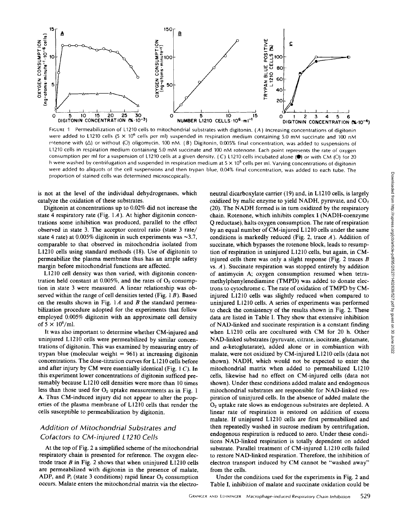

FIGURE 1 Permeabilization of L1210 cells to mitochondrial substrates with digitonin. (A) Increasing concentrations of digitonin were added to L1210 cells (5  $\times$  10<sup>6</sup> cells per ml) suspended in respiration medium containing 5.0 mM succinate and 100 nM rotenone with ( $\Delta$ ) or without ( $O$ ) oligomycin, 100 nM. (B) Digitonin, 0.005% final concentration, was added to suspensions of L1210 cells in respiration medium containing 5.0 mM succinate and 100 nM rotenone. Each point represents the rate of oxygen consumption per ml for a suspension of L1210 cells at a given density. (C) L1210 cells incubated alone ( $\bullet$ ) or with CM (O) for 20 h were washed by centrifugation and suspended in respiration medium at  $5 \times 10^5$  cells per ml. Varying concentrations of digitonin were added to aliquots of the cell suspensions and then trypan blue, 0.04% final concentration, was added to each tube. The proportion of stained cells was determined microscopically.

is not at the level of the individual dehydrogenases, which catalyze the oxidation of these substrates.

Digitonin at concentrations up to 0.02% did not increase the state 4 respiratory rate (Fig.  $1A$ ). At higher digitonin concentrations some inhibition was produced, parallel to the effect observed in state 3. The acceptor control ratio (state 3 rate/ state 4 rate) at 0.005% digitonin in such experiments was  $\sim$ 3.7, comparable to that observed in mitochondria isolated from LI210 cells using standard methods (18). Use of digitonin to permeabilize the plasma membrane thus has an ample safety margin before mitochondrial functions are affected.

LI210 cell density was then varied, with digitonin concentration held constant at  $0.005\%$ , and the rates of  $O<sub>2</sub>$  consumption in state 3 were measured. A linear relationship was observed within the range of cell densities tested (Fig.  $1B$ ). Based on the results shown in Fig.  $1A$  and  $B$  the standard permeabilization procedure adopted for the experiments that follow employed 0.005% digitonin with an approximate cell density of  $5 \times 10^6$ /ml.

It was also important to determine whether CM-injured and uninjured L1210 ceils were permeabilized by similar concentrations of digitonin. This was examined by measuring entry of trypan blue (molecular weight =  $961$ ) at increasing digitonin concentrations. The dose-titration curves for L 1210 ceils before and after injury by CM were essentially identical (Fig.  $1 C$ ). In this experiment lower concentrations of digitonin sufficed presumably because L1210 cell densities were more than 10 times less than those used for  $O<sub>2</sub>$  uptake measurements as in Fig. 1 A. Thus CM-induced injury did not appear to alter the properties of the plasma membrane of L1210 cells that render the cells susceptible to permeabilization by digitonin.

# *Addition of Mitochondrial 5ubstrates and Cofactors to CM-injured L1210 Cells*

At the top of Fig. 2 a simplified scheme of the mitochondrial respiratory chain is presented for reference. The oxygen electrode trace  $B$  in Fig. 2 shows that when uninjured L1210 cells are permeabilized with digitonin in the presence of malate, ADP, and  $P_i$  (state 3 conditions) rapid linear  $O_2$  consumption occurs. Malate enters the mitochondrial matrix via the electroneutral dicarboxylate carrier (19) and, in L 1210 cells, is largely oxidized by malic enzyme to yield NADH, pyruvate, and  $CO<sub>2</sub>$ (20). The NADH formed is in turn oxidized by the respiratory chain. Rotenone, which inhibits complex I (NADH-coenzyme Q reductase), halts oxygen consumption. The rate of respiration by an equal number of CM-injured L1210 cells under the same conditions is markedly reduced (Fig. 2, trace  $A$ ). Addition of succinate, which bypasses the rotenone block, leads to resumption of respiration in uninjured L1210 cells, but again, in CMinjured cells there was only a slight response (Fig. 2 traces  $B$ vs.  $A$ ). Succinate respiration was stopped entirely by addition of antimycin A; oxygen consumption resumed when tetramethylphenylenediamine (TMPD) was added to donate electrons to cytochrome c. The rate of oxidation of TMPD by CMinjured LI210 cells was slightly reduced when compared to uninjured LI210 cells. A series of experiments was performed to check the consistency of the results shown in Fig. 2. These data are listed in Table I. They show that extensive inhibition of NAD-linked and succinate respiration is a constant finding when L1210 ceils are cocultured with CM for 20 h. Other NAD-linked substrates (pyruvate, citrate, isocitrate, glutamate, and  $\alpha$ -ketoglutarate), added alone or in combiantion with malate, were not oxidized by CM-injured L 1210 cells (data not shown). NADH, which would not be expected to enter the mitochondrial matrix when added to permeabilized LI210 cells, likewise had no effect on CM-injured cells (data not shown). Under these conditions added malate and endogenous mitochondrial substrates are responsible for NAD-linked respiration of uninjured cells. In the absence of added malate the 02 uptake rate slows as endogenous substrates are depleted. A linear rate of respiration is restored on addition of excess malate. If uninjured L1210 ceils are first permeabilized and then repeatedly washed in sucrose medium by centrifugation, endogenous respiration is reduced to zero. Under these conditions NAD-linked respiration is totally dependent on added substrate. Parallel treatment of CM-injured LI210 cells failed to restore NAD-linked respiration. Therefore, the inhibition of electron transport induced by CM cannot be "washed away" from the cells.

Under the conditions used for the experiments in Fig. 2 and Table I, inhibition of malate and succinate oxidation could be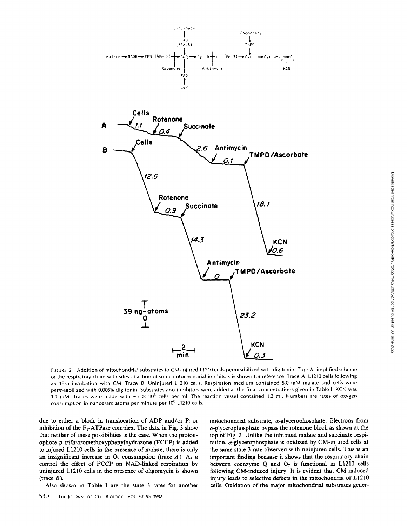

Downloaded from http://rupress.org/jcb/article-pdf/95/2/527/1402639/527.pdf by guest on 30 June 2022 Downloaded from http://rupress.org/jcb/article-pdf/95/2/527/1402639/527.pdf by guest on 30 June 2022

FIGURE 2 Addition of mitochondrial substrates to CM-injured L1210 cells permeabilized with digitonin. *Top:* A simplified scheme of the respiratory chain with sites of action of some mitochondrial inhibitors is shown for reference. Trace A: L1210 cells following an 18-h incubation with CM. Trace B: Uninjured L1210 cells. Respiration medium contained 5.0 mM malate and cells were permeabilized with 0.005% digitonin. Substrates and inhibitors were addcd at the final concentrations given in Table I. KCN was 1.0 mM. Traces were made with  $\sim$  5  $\times$  10<sup>6</sup> cells per ml. The reaction vessel contained 1.2 ml. Numbers are rates of oxygen consumption in nanogram atoms per minute per 10<sup>6</sup> L1210 cells.

due to either a block in translocation of ADP and/or P<sub>i</sub> or inhibition of the  $F_1$ -ATPase complex. The data in Fig. 3 show that neither of these possibilities is the case. When the protonophore p-trifluoromethoxyphenylhydrazone (FCCP) is added to injured LI210 cells in the presence of malate, there is only an insignificant increase in  $O_2$  consumption (trace  $A$ ). As a control the effect of FCCP on NAD-linked respiration by uninjured LI210 cells in the presence of oligomycin is shown (trace  $B$ ).

Also shown in Table I are the state 3 rates for another

mitochondrial substrate,  $\alpha$ -glycerophosphate. Electrons from  $\alpha$ -glycerophosphate bypass the rotenone block as shown at the top of Fig. 2. Unlike the inhibited malate and succinate respiration,  $\alpha$ -glycerophosphate is oxidized by CM-injured cells at the same state 3 rate observed with uninjured cells. This is an important finding because it shows that the respiratory chain between coenzyme  $Q$  and  $O_2$  is functional in L1210 cells following CM-induced injury. It is evident that CM-induced injury leads to selective defects in the mitochondria of LI210 cells. Oxidation of the major mitochondrial substrates gener-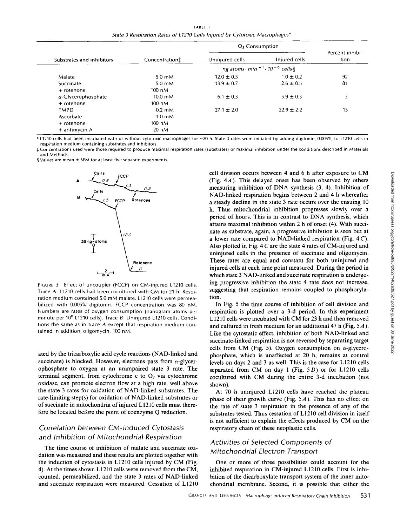I ABLE I *State 3 Respiration Rates of L 1210 Cells Injured by Cytotoxic Macrophages\** 

|                            |                                    | $O2$ Consumption                                                   |                |                         |
|----------------------------|------------------------------------|--------------------------------------------------------------------|----------------|-------------------------|
| Substrates and inhibitors  | Concentration‡                     | Uninjured cells                                                    | Injured cells  | Percent inhibi-<br>tion |
|                            |                                    | ng atoms $\cdot$ min <sup>-1</sup> $\cdot$ 10 <sup>-6</sup> cells§ |                |                         |
| Malate                     | $5.0 \text{ mM}$                   | $12.0 \pm 0.3$                                                     | $1.0 \pm 0.2$  | 92                      |
| Succinate                  | $5.0 \text{ }\mathsf{m}\mathsf{M}$ | $13.9 \pm 0.7$                                                     | $2.6 \pm 0.5$  | 81                      |
| $+$ rotenone               | $100 \text{ nM}$                   |                                                                    |                |                         |
| $\alpha$ -Glycerophosphate | $10.0 \text{ mM}$                  | $6.1 \pm 0.3$                                                      | $5.9 \pm 0.3$  | 3                       |
| $+$ rotenone               | $100 \text{ nM}$                   |                                                                    |                |                         |
| <b>TMPD</b>                | $0.2 \text{ mM}$                   | $27.1 \pm 2.0$                                                     | $22.9 \pm 2.2$ | 15                      |
| Ascorbate                  | $1.0 \text{ }\mathrm{m}$ M         |                                                                    |                |                         |
| $+$ rotenone               | $100 \text{ nM}$                   |                                                                    |                |                         |
| $+$ antimycin A            | 20 nM                              |                                                                    |                |                         |

\* L1210 cells had been incubated with or without cytotoxic macrophages for ~20 h. State 3 rates were initiated by adding digitonin, 0.005%, to L1210 cells in respiration medium containing substrates and inhibitors.

:I: Concentrations used were those required to produce maximal respiration rates (substrates) or maximal inhibition under the conditions described in Materials and Methods.

§ Values are mean  $\pm$  SEM for at least five separate experiments.



FIGURE 3 Effect of uncoupler (FCCP) on CM-injured L1210 cells. Trace A: L1210 cells had been cocultured with CM for 21 h. Respiration medium contained 5.0 mM malate. L1210 cells were permeabilized with 0.005% digitonin. FCCP concentration was 80 nM. Numbers are rates of oxygen consumption (nanogram atoms per minute per 10<sup>6</sup> L1210 cells). Trace B: Uninjured L1210 cells. Conditions the same as in trace A except that respiration medium contained in addition, oligomycin, 100 nM.

ated by the tricarboxylic acid cycle reactions (NAD-linked and succinate) is blocked. However, electrons pass from  $\alpha$ -glycerophosphate to oxygen at an unimpaired state 3 rate. The terminal segment, from cytochrome c to  $O<sub>2</sub>$  via cytochrome oxidase, can promote electron flow at a high rate, well above the state 3 rates for oxidation of NAD-linked substrates. The rate-limiting step(s) for oxidation of NAD-linked substrates or of succinate in mitochondria of injured L 1210 cells must therefore be located before the point of coenzyme Q reduction.

# *Correlation between CM-induced Cytostasis and Inhibition* of *Mitochondrial Respiration*

The time course of inhibition of malate and succinate oxidation was measured and these results are plotted together with the induction of cytostasis in L1210 cells injured by CM (Fig. 4). At the times shown LI210 cells were removed from the CM, counted, permeabilized, and the state 3 rates of NAD-linked and succinate respiration were measured. Cessation of L1210 cell division occurs between 4 and 6 h after exposure to CM (Fig.  $4A$ ). This delayed onset has been observed by others measuring inhibition of DNA synthesis (3, 4). Inhibition of NAD-linked respiration begins between 2 and 4 h whereafter a steady decline in the state 3 rate occurs over the ensuing 10 h. Thus mitochondrial inhibition progresses slowly over a period of hours. This is in contrast to DNA synthesis, which attains maximal inhibition within 2 h of onset (4). With succinate as substrate, again, a progressive inhibition is seen but at a lower rate compared to NAD-linked respiration (Fig. 4 C). Also plotted in Fig. 4 C are the state 4 rates of CM-injured and uninjured cells in the presence of succinate and oligomycin. These rates are equal and constant for both uninjured and injured cells at each time point measured. During the period in which state 3 NAD-linked and succinate respiration is undergoing progressive inhibition the state 4 rate does not increase, suggesting that respiration remains coupled to phosphorylation.

In Fig. 5 the time course of inhibition of cell division and respiration is plotted over a 3-d period. In this experiment L1210 ceils were incubated with CM for 23 h and then removed and cultured in fresh medium for an additional 47 h (Fig. 5 A ). Like the cytostatic effect, inhibition of both NAD-linked and succinate-linked respiration is not reversed by separating target cells from CM (Fig. 5). Oxygen consumption on  $\alpha$ -glycerophosphate, which is unaffected at 20 h, remains at control levels on days 2 and 3 as well. This is the case for L 1210 cells separated from CM on day 1 (Fig.  $5D$ ) or for L1210 cells cocultured with CM during the entire 3-d incubation (not shown).

At 70 h uninjured L1210 cells have reached the plateau phase of their growth curve (Fig.  $5A$ ). This has no effect on the rate of state 3 respiration in the presence of any of the substrates tested. Thus cessation of L 1210 cell division in itself is not sufficient to explain the effects produced by CM on the respiratory chain of these neoplastic cells.

# *Activities of Selected Components of Mitochondrial Electron Transport*

One or more of three possibilities could account for the inhibited respiration in CM-injured L1210 ceils. First is inhibition of the dicarboxylate transport system of the inner mitochondrial membrane. Second, it is possible that either the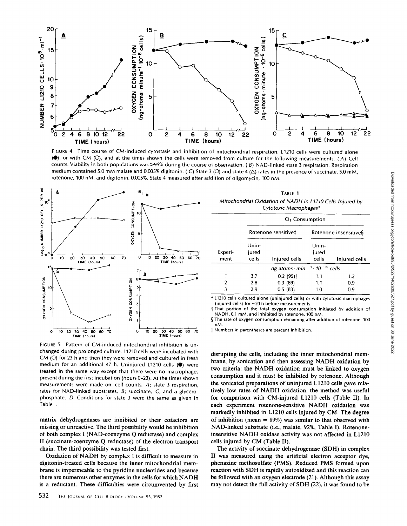

FIGURE 4 Time course of CM-induced cytostasis and inhibition of mitochondrial respiration. L1210 cells were cultured alone (<sup>6</sup>), or with CM (O), and at the times shown the cells were removed from culture for the following measurements. (A) Cell counts. Viability in both populations was  $>95%$  during the course of observation. (B) NAD-linked state 3 respiration. Respiration medium contained 5.0 mM malate and 0.005% digitonin. (C) State 3 (O) and state 4 ( $\Delta$ ) rates in the presence of succinate, 5.0 mM, rotenone, 100 nM, and digitonin, 0.005%. State 4 measured after addition of oligomycin, 100 nM.



FIGURE 5 Pattern of CM-induced mitochondrial inhibition is unchanged during prolonged culture. L1210 cells were incubated with CM (O) for 23 h and then they were removed and cultured in fresh medium for an additional 47 h. Uninjured L1210 cells  $(①)$  were treated in the same way except that there were no macrophages present during the first incubation (hours 0-23). At the times shown measurements were made on: cell counts, A; state 3 respiration, rates for NAD-linked substrates,  $B$ ; succinate,  $C$ ; and  $\alpha$ -glycerophosphate, D. Conditions for state 3 were the same as given in Table I.

matrix dehydrogenases are inhibited or their cofactors are missing or unreactive. The third possibility would be inhibition of both complex I (NAD-coenzyme Q reductase) and complex II (succinate-coenzyme Q reductase) of the electron transport chain. The third possibility was tested first.

Oxidation of NADH by complex I is difficult to measure in digitonin-treated cells because the inner mitochondrial membrane is impermeable to the pyridine nucleotides and because there are numerous other enzymes in the cells for which NADH is a reductant. These difficulties were circumvented by first

TABLE II *Mitochondrial Oxidation of NADH in L 1210 Cells Injured by Cytotoxic Macrophages\** 

|                 | $O2$ Consumption        |                                                       |                         |               |
|-----------------|-------------------------|-------------------------------------------------------|-------------------------|---------------|
|                 | Rotenone sensitive‡     |                                                       | Rotenone insensitive§   |               |
| Experi-<br>ment | Unin-<br>jured<br>cells | Injured cells                                         | Unin-<br>jured<br>cells | Injured cells |
|                 |                         | ng atoms $\cdot$ min $^{-1}$ $\cdot$ 10 $^{-6}$ cells |                         |               |
| 1               | 3.7                     | 0.2(95)                                               | 1.1                     | 1.2           |
| 2               | 2.8                     | 0.3(89)                                               | 1.1                     | 0.9           |
| 3               | 2.9                     | 0.5(83)                                               | 1.0                     | 0.9           |

\* L1210 cells cultured alone (uninjured cells) or with cytotoxic macrophages (injured cells) for ~20 h before measurements.

~That portion of the total oxygen consumption initiated by addition of NADH, 0.1 mM, and inhibited by rotenone, 100 nM.

§ The rate of oxygen consumption remaining after addition of rotenone, 100 nM.

II Numbers in parentheses are percent inhibition.

disrupting the cells, including the inner mitochondrial membrane, by sonication and then assessing NADH oxidation by two criteria: the NADH oxidation must be linked to oxygen consumption and it must be inhibited by rotenone. Although the sonicated preparations of uninjured L 1210 cells gave relatively low rates of NADH oxidation, the method was useful for comparison with CM-injured LI210 cells (Table II). In each experiment rotenone-sensitive NADH oxidation was markedly inhibited in LI210 ceils injured by CM. The degree of inhibition (mean  $= 89\%$ ) was similar to that observed with NAD-linked substrate (i.e., malate, 92%, Table I). Rotenoneinsensitive NADH oxidase activity was not affected in L1210 cells injured by CM (Table II).

The activity of succinate dehydrogenase (SDH) in complex II was measured using the artificial electron acceptor dye, phenazine methosulfate (PMS). Reduced PMS formed upon reaction with SDH is rapidly autoxidized and this reaction can be followed with an oxygen electrode (21). Although this assay may not detect the full activity of SDH (22), it was found to be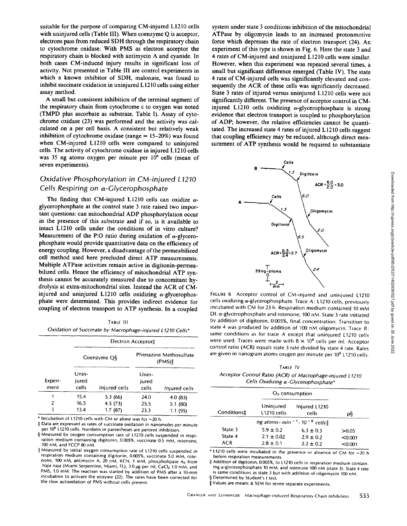suitable for the purpose of comparing CM-injured L1210 cells with uninjured cells (Table III). When coenzyme Q is acceptor, electrons pass from reduced SDH through the respiratory chain to cytochrome oxidase. With PMS as electron acceptor the respiratory chain is blocked with antimycin A and cyanide. In both cases CM-induced injury results in significant loss of activity. Not presented in Table III are control experiments in which a known inhibitor of SDH, malonate, was found to inhibit succinate oxidation in uninjured L 1210 ceils using either assay method.

A small but consistent inhibition of the terminal segment of the respiratory chain from cytochrome c to oxygen was noted (TMPD plus ascorbate as substrate, Table I). Assay of cytochrome oxidase (23) was performed and the activity was calculated on a per cell basis. A consistent but relatively weak inhibition of cytochrome oxidase (range  $= 15-20\%$ ) was found when CM-injured LI210 cells were compared to uninjured cells. The activity of cytochrome oxidase in injured L 1210 ceils was 35 ng atoms oxygen per minute per  $10^6$  cells (mean of seven experiments).

# *Oxidative Phosphorylation in CM-injured L1210*  Cells Respiring on α-Glycerophosphate

The finding that CM-injured L1210 cells can oxidize  $\alpha$ glycerophosphate at the control state 3 rate raised two important questions: can mitochondrial ADP phosphorylation occur in the presence of this substrate and if so, is it available to intact LI210 cells under the conditions of in vitro culture? Measurement of the P:O ratio during oxidation of  $\alpha$ -glycerophosphate would provide quantitative data on the efficiency of energy coupling. However, a disadvantage of the permeabilized cell method used here precluded direct ATP measurements. Multiple ATPase activities remain active in digitonin-permeabilized cells. Hence the efficiency of mitochondrial ATP synthesis cannot be accurately measured due to concomitant hydrolysis at extra-mitochondrial sites. Instead the ACR of CMinjured and uninjured L1210 cells oxidizing  $\alpha$ -glycerophosphate were determined. This provides indirect evidence for coupling of electron transport to ATP synthesis. In a coupled

TABLE III *Oxidation of Succinate by Macrophage-injured L 1210 Cells\** 

|                 | Electron Acceptor <sup>+</sup> |               |                                 |               |
|-----------------|--------------------------------|---------------|---------------------------------|---------------|
|                 | Coenzyme Q§                    |               | Phenazine Methosulfate<br>(PMS) |               |
| Experi-<br>ment | Unin-<br>jured<br>cells        | Injured cells | Unin-<br>jured<br>cells         | Injured cells |
| 1               | 15.4                           | 5.3 (66)      | 24.0                            | 4.0(83)       |
| $\overline{2}$  | 16.5                           | 4.5(73)       | 25.5                            | 5.1(80)       |
| 3               | 13.4                           | 1.7(87)       | 23.3                            | 1.1(95)       |

 $*$  Incubation of L1210 cells with CM or alone was for  $\sim$ 20 h.

 $\ddagger$  Data are expressed as rates of succinate oxidation in nanomoles per minute per 10<sup>6</sup> L1210 cells. Numbers in parentheses are percent inhibition.

§ Measured by oxygen consumption rate of L1210 cells suspended in respiration medium containing digitonin, 0.005%, succinate 0.5 mM, rotenone, 100 nM, and FCCP 80 nM.

I[ Measured by initial oxygen consumption rate of L1210 cells suspended in respiration medium containing digitonin, 0.005%, succinate 5.0 mM, rotenone, 100 nM, antimycin A, 20 nM, KCN, 1 mM, phospholipase A<sub>2</sub> from *Naja naja* (Miami Serpentine, Miami, FL), 3.0 ug per ml, CaCl<sub>2</sub> 1.0 mM, and PMS, 1.0 mM. The reaction was started by addition of PMS after a 10-min incubation to activate the enzyme (22). The rates have been corrected for the slow autoxidation of PMS without cells present.

system under state 3 conditions inhibition of the mitochondrial ATPase by oligomycin leads to an increased protonmotive force which depresses the rate of electron transport (24). An experiment of this type is shown in Fig. 6. Here the state 3 and 4 rates of CM-injured and uninjured L1210 cells were similar. However, when this experiment was repeated several times, a small but significant difference emerged (Table IV). The state 4 rate of CM-injured cells was significantly elevated and consequently the ACR of these cells was significantly decreased. State 3 rates of injured versus uninjured L1210 cells were not significantly different. The presence of acceptor control in CMinjured L1210 cells oxidizing  $\alpha$ -glycerophosphate is strong evidence that electron transport is coupled to phosphorylation of ADP; however, the relative efticiencies cannot be quantitated. The increased state 4 rates of injured L1210 cells suggest that coupling efficiency may be reduced, although direct measurement of ATP synthesis would be required to substantiate



FIGURE 6 Acceptor control of CM-injured and uninjured L1210 cells oxidizing  $\alpha$ -glycerophosphate. Trace A: L1210 cells, previously incubated with CM for 23 h. Respiration medium contained 10 mM  $DL-\alpha$ -glycerophosphate and rotenone, 100 nM. State 3 rate initiated by addition of digitonin, 0.005%, final concentration. Transition to state 4 was produced by addition of 100 nM oligomycin. Trace  $B$ : same conditions as for trace A except that uninjured L1210 cells were used. Traces were made with  $8 \times 10^6$  cells per ml. Acceptor control ratio (ACR) equals state 3 rate divided by state 4 rate. Rates are given in nanogram atoms oxygen per minute per 10<sup>6</sup> L1210 cells.

TABLE IV *Acceptor Control Ratio (ACR) of Macrophage-injured L 1210 Cells Oxidizing a-Glycerophosphate"* 

|                                                  |                                                  | $O2$ consumption                                |                             |  |  |
|--------------------------------------------------|--------------------------------------------------|-------------------------------------------------|-----------------------------|--|--|
| Conditions‡                                      | Uninjured<br>L1210 cells                         | Injured L1210<br>cells                          | p§                          |  |  |
| ng atoms $\cdot$ min $^{-1} \cdot 10^{-6}$ cells |                                                  |                                                 |                             |  |  |
| State 3<br>State 4<br><b>ACR</b>                 | $5.9 \pm 0.2$<br>$2.1 \pm 0.02$<br>$2.8 \pm 0.1$ | $6.3 \pm 0.3$<br>$2.9 \pm 0.2$<br>$2.2 \pm 0.2$ | >0.05<br>< 0.001<br>< 0.001 |  |  |

\* L1210 cells were incubated in the presence or absence of CM for ~20 h before respiration measurements.

 $\ddagger$  Addition of digitonin, 0.005%, to L1210 cells in respiration medium containing  $\alpha$ -glycerophosphate 10 mM, and rotenone 100 nM (state 3). State 4 rate is same conditions as state 3 but with addition of oligomycin 100 nM.

§ Determined by Student's t test.

Values are means  $\pm$  SEM for seven separate experiments.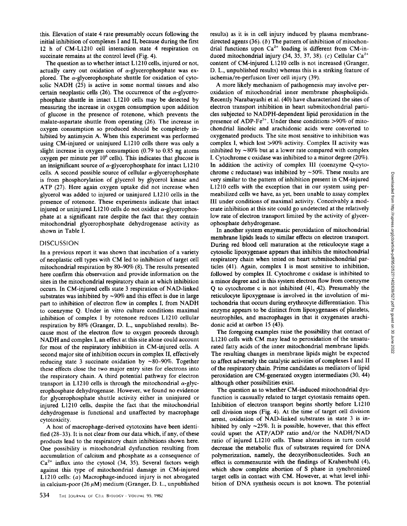this. Elevation of state 4 rate presumably occurs following the initial inhibition of complexes I and II, because during the first 12 h of CM-LI210 cell interaction state 4 respiration on succinate remains at the control level (Fig. 4).

The question as to whether intact LI210 ceils, injured or not, actually carry out oxidation of  $\alpha$ -glycerophosphate was explored. The  $\alpha$ -glycerophosphate shuttle for oxidation of cytosolic NADH (25) is active in some normal tissues and also certain neoplastic cells  $(26)$ . The occurrence of the  $\alpha$ -glycerophosphate shuttle in intact L1210 cells may be detected by measuring the increase in oxygen consumption upon addition of glucose in the presence of rotenone, which prevents the malate-aspartate shuttle from operating (26). The increase in oxygen consumption so produced should be completely inhibited by antimycin A. When this experiment was performed using CM-injured or uninjured LI210 cells there was only a slight increase in oxygen consumption (0.79 to 0.85 ng atoms oxygen per minute per  $10<sup>6</sup>$  cells). This indicates that glucose is an insignificant source of  $\alpha$ -glycerophosphate for intact L1210 cells. A second possible source of cellular  $\alpha$ -glycerophosphate is from phosphorylation of glycerol by glycerol kinase and ATP (27). Here again oxygen uptake did not increase when glycerol was added to injured or uninjured LI210 cells in the presence of rotenone. These experiments indicate that intact injured or uninjured L1210 cells do not oxidize  $\alpha$ -glycerophosphate at a significant rate despite the fact that they contain mitochondrial glycerophosphate dehydrogenase activity as shown in Table I.

#### DISCUSSION

In a previous report it was shown that incubation of a variety of neoplastic cell types with CM led to inhibition of target cell mitochondrial respiration by 80-90% (8). The results presented here confirm this observation and provide information on the sites in the mitochondrial respiratory chain at which inhibition occurs. In CM-injured cells state 3 respiration of NAD-linked substrates was inhibited by  $\sim$ 90% and this effect is due in large part to inhibition of electron flow in complex I, from NADH to coenzyme Q. Under in vitro culture conditions maximal inhibition of complex I by rotenone reduces Ll210 cellular respiration by 88% (Granger, D. L., unpublished results). Because most of the electron flow to oxygen proceeds through NADH and complex I, an effect at this site alone could account for most of the respiratory inhibition in CM-injured ceils. A second major site of inhibition occurs in complex II, effectively reducing state 3 succinate oxidation by  $\sim 80-90\%$ . Together these effects close the two major entry sites for electrons into the respiratory chain. A third potential pathway for electron transport in L1210 cells is through the mitochondrial  $\alpha$ -glycerophosphate dehydrogenase. However, we found no evidence for glycerophosphate shuttle activity either in uninjured or injured L1210 cells, despite the fact that the mitochondrial dehydrogenase is functional and unaffected by macrophage cytotoxicity.

A host of macrophage-derived cytotoxins have been identified (28-33). It is not clear from our data which, if any, of these products lead to the respiratory chain inhibitions shown here. One possibility is mitochondrial dysfunction resulting from accumulation of calcium and phosphate as a consequence of  $Ca<sup>2+</sup>$  influx into the cytosol (34, 35). Several factors weigh against this type of mitochondrial damage in CM-injured LI210 cells: (a) Macrophage-induced injury is not abrogated in calcium-poor (26  $\mu$ M) medium (Granger, D. L., unpublished

results) as it is in cell injury induced by plasma membranedirected agents  $(36)$ .  $(b)$  The pattern of inhibition of mitochondrial functions upon  $Ca^{2+}$  loading is different from CM-induced mitochondrial injury (34, 35, 37, 38). (c) Cellular Ca<sup>2+</sup> content of CM-injured LI210 cells is not increased (Granger, D. L., unpublished results) whereas this is a striking feature of ischemia/re-perfusion liver cell injury (39).

A more likely mechanism of pathogenesis may involve peroxidation of mitochondrial inner membrane phospholipids. Recently Narabayashi et al. (40) have characterized the sites of electron transport inhibition in heart submitochondrial particles subjected to NADPH-dependent lipid peroxidation in the presence of ADP-Fe<sup> $3+$ </sup>. Under these conditions >90% of mitochondrial linoleic and arachidonic acids were converted to oxygenated products. The site most sensitive to inhibition was complex I, which lost >90% activity. Complex II activity was inhibited by  $\sim80\%$  but at a lower rate compared with complex I. Cytochrome c oxidase was inhibited to a minor degree (20%). In addition the activity of complex III (coenzyme Q-cytochrome c reductase) was inhibited by  $\sim$ 50%. These results are very similar to the pattern of inhibition present in CM-injured L1210 cells with the exception that in our system using permeabilized cells we have, as yet, been unable to assay complex III under conditions of maximal activity. Conceivably a moderate inhibition at this site could go undetected at the relatively low rate of electron transport limited by the activity of glycerophosphate dehydrogenase.

In another system enzymatic peroxidation of mitochondrial membrane lipids leads to similar effects on electron transport. During red blood cell maturation at the reticulocyte stage a cytosolic lipoxygenase appears that inhibits the mitochondrial respiratory chain when tested on heart submitochondrial particles (41). Again, complex I is most sensitive to inhibition, followed by complex II. Cytochrome c oxidase is inhibited to a minor degree and in this system electron flow from coenzyme Q to cytochrome c is not inhibited (41, 42). Presumably the reticulocyte lipoxygenase is involved in the involution of mitochondria that occurs during erythrocyte differentiation. This enzyme appears to be distinct from lipoxygenases of platelets, neutrophiles, and macrophages in that it oxygenates arachidonic acid at carbon 15 (43).

The foregoing examples raise the possibility that contact of L1210 cells with CM may lead to peroxidation of the unsaturated fatty acids of the inner mitochondrial membrane lipids. The resulting changes in membrane lipids might be expected to affect adversely the catalytic activities of complexes I and II of the respiratory chain. Prime candidates as mediators of lipid peroxidation are CM-generated oxygen intermediates (30, 44) although other possibilities exist.

The question as to whether CM-induced mitochondrial dysfunction is causually related to target cytostasis remains open. Inhibition of electron transport begins shortly before LI210 cell division stops (Fig. 4). At the time of target cell division arrest, oxidation of NAD-linked substrates in state 3 is inhibited by only  $\sim$ 25%. It is possible, however, that this effect could upset the ATP/ADP ratio and/or the NADH/NAD ratio of injured LI210 cells. These alterations in turn could decrease the metabolic flux of substrates required for DNA polymerization, namely, the deoxyribonucleotides. Such an effect is commensurate with the findings of Krahenbuhl (4), which show complete abortion of S phase in synchronized target cells in contact with CM. However, at what level inhibition of DNA synthesis occurs is not known. The potential